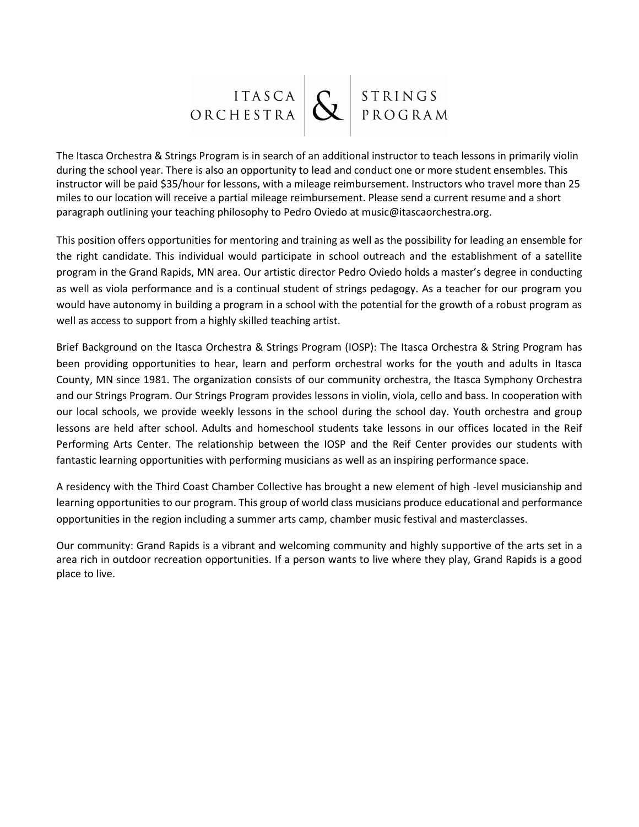

The Itasca Orchestra & Strings Program is in search of an additional instructor to teach lessons in primarily violin during the school year. There is also an opportunity to lead and conduct one or more student ensembles. This instructor will be paid \$35/hour for lessons, with a mileage reimbursement. Instructors who travel more than 25 miles to our location will receive a partial mileage reimbursement. Please send a current resume and a short paragraph outlining your teaching philosophy to Pedro Oviedo at music@itascaorchestra.org.

This position offers opportunities for mentoring and training as well as the possibility for leading an ensemble for the right candidate. This individual would participate in school outreach and the establishment of a satellite program in the Grand Rapids, MN area. Our artistic director Pedro Oviedo holds a master's degree in conducting as well as viola performance and is a continual student of strings pedagogy. As a teacher for our program you would have autonomy in building a program in a school with the potential for the growth of a robust program as well as access to support from a highly skilled teaching artist.

Brief Background on the Itasca Orchestra & Strings Program (IOSP): The Itasca Orchestra & String Program has been providing opportunities to hear, learn and perform orchestral works for the youth and adults in Itasca County, MN since 1981. The organization consists of our community orchestra, the Itasca Symphony Orchestra and our Strings Program. Our Strings Program provides lessons in violin, viola, cello and bass. In cooperation with our local schools, we provide weekly lessons in the school during the school day. Youth orchestra and group lessons are held after school. Adults and homeschool students take lessons in our offices located in the Reif Performing Arts Center. The relationship between the IOSP and the Reif Center provides our students with fantastic learning opportunities with performing musicians as well as an inspiring performance space.

A residency with the Third Coast Chamber Collective has brought a new element of high -level musicianship and learning opportunities to our program. This group of world class musicians produce educational and performance opportunities in the region including a summer arts camp, chamber music festival and masterclasses.

Our community: Grand Rapids is a vibrant and welcoming community and highly supportive of the arts set in a area rich in outdoor recreation opportunities. If a person wants to live where they play, Grand Rapids is a good place to live.